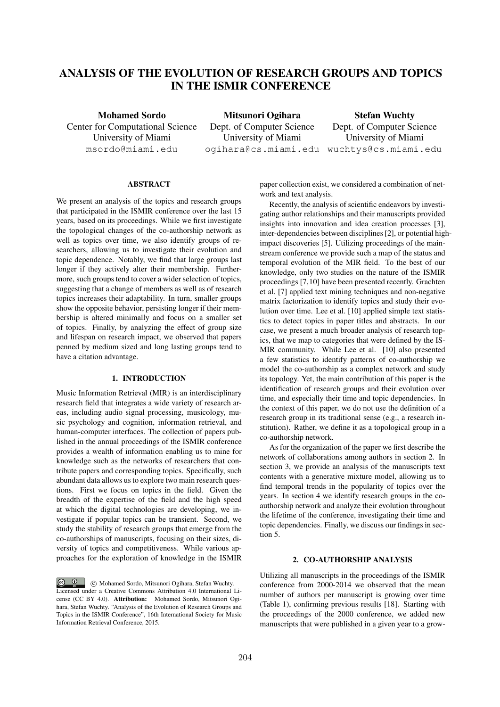# ANALYSIS OF THE EVOLUTION OF RESEARCH GROUPS AND TOPICS IN THE ISMIR CONFERENCE

Mohamed Sordo Center for Computational Science University of Miami msordo@miami.edu

Mitsunori Ogihara Dept. of Computer Science University of Miami ogihara@cs.miami.edu wuchtys@cs.miami.edu

Stefan Wuchty Dept. of Computer Science University of Miami

## ABSTRACT

We present an analysis of the topics and research groups that participated in the ISMIR conference over the last 15 years, based on its proceedings. While we first investigate the topological changes of the co-authorship network as well as topics over time, we also identify groups of researchers, allowing us to investigate their evolution and topic dependence. Notably, we find that large groups last longer if they actively alter their membership. Furthermore, such groups tend to cover a wider selection of topics, suggesting that a change of members as well as of research topics increases their adaptability. In turn, smaller groups show the opposite behavior, persisting longer if their membership is altered minimally and focus on a smaller set of topics. Finally, by analyzing the effect of group size and lifespan on research impact, we observed that papers penned by medium sized and long lasting groups tend to have a citation advantage.

### 1. INTRODUCTION

Music Information Retrieval (MIR) is an interdisciplinary research field that integrates a wide variety of research areas, including audio signal processing, musicology, music psychology and cognition, information retrieval, and human-computer interfaces. The collection of papers published in the annual proceedings of the ISMIR conference provides a wealth of information enabling us to mine for knowledge such as the networks of researchers that contribute papers and corresponding topics. Specifically, such abundant data allows us to explore two main research questions. First we focus on topics in the field. Given the breadth of the expertise of the field and the high speed at which the digital technologies are developing, we investigate if popular topics can be transient. Second, we study the stability of research groups that emerge from the co-authorships of manuscripts, focusing on their sizes, diversity of topics and competitiveness. While various approaches for the exploration of knowledge in the ISMIR

 $\odot$   $\odot$ c Mohamed Sordo, Mitsunori Ogihara, Stefan Wuchty. Licensed under a Creative Commons Attribution 4.0 International License (CC BY 4.0). Attribution: Mohamed Sordo, Mitsunori Ogihara, Stefan Wuchty. "Analysis of the Evolution of Research Groups and Topics in the ISMIR Conference", 16th International Society for Music Information Retrieval Conference, 2015.

paper collection exist, we considered a combination of network and text analysis.

Recently, the analysis of scientific endeavors by investigating author relationships and their manuscripts provided insights into innovation and idea creation processes [3], inter-dependencies between disciplines [2], or potential highimpact discoveries [5]. Utilizing proceedings of the mainstream conference we provide such a map of the status and temporal evolution of the MIR field. To the best of our knowledge, only two studies on the nature of the ISMIR proceedings [7,10] have been presented recently. Grachten et al. [7] applied text mining techniques and non-negative matrix factorization to identify topics and study their evolution over time. Lee et al. [10] applied simple text statistics to detect topics in paper titles and abstracts. In our case, we present a much broader analysis of research topics, that we map to categories that were defined by the IS-MIR community. While Lee et al. [10] also presented a few statistics to identify patterns of co-authorship we model the co-authorship as a complex network and study its topology. Yet, the main contribution of this paper is the identification of research groups and their evolution over time, and especially their time and topic dependencies. In the context of this paper, we do not use the definition of a research group in its traditional sense (e.g., a research institution). Rather, we define it as a topological group in a co-authorship network.

As for the organization of the paper we first describe the network of collaborations among authors in section 2. In section 3, we provide an analysis of the manuscripts text contents with a generative mixture model, allowing us to find temporal trends in the popularity of topics over the years. In section 4 we identify research groups in the coauthorship network and analyze their evolution throughout the lifetime of the conference, investigating their time and topic dependencies. Finally, we discuss our findings in section 5.

## 2. CO-AUTHORSHIP ANALYSIS

Utilizing all manuscripts in the proceedings of the ISMIR conference from 2000-2014 we observed that the mean number of authors per manuscript is growing over time (Table 1), confirming previous results [18]. Starting with the proceedings of the 2000 conference, we added new manuscripts that were published in a given year to a grow-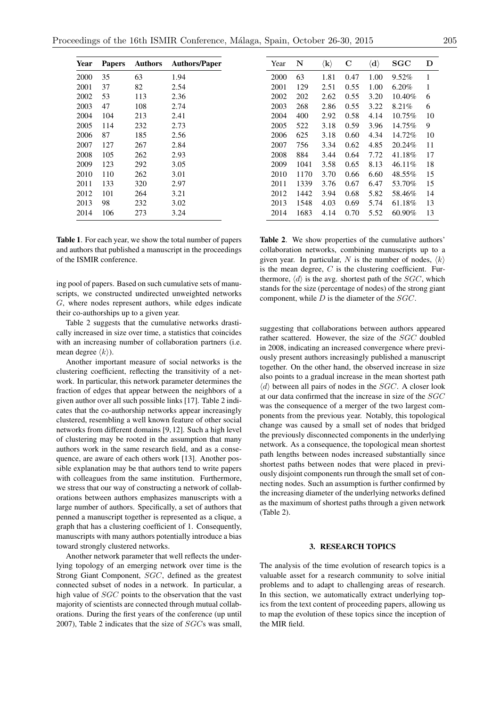| <b>Papers</b> | <b>Authors</b> | <b>Authors/Paper</b> |
|---------------|----------------|----------------------|
| 35            | 63             | 1.94                 |
| 37            | 82             | 2.54                 |
| 53            | 113            | 2.36                 |
| 47            | 108            | 2.74                 |
| 104           | 213            | 2.41                 |
| 114           | 232            | 2.73                 |
| 87            | 185            | 2.56                 |
| 127           | 267            | 2.84                 |
| 105           | 262            | 2.93                 |
| 123           | 292            | 3.05                 |
| 110           | 262            | 3.01                 |
| 133           | 320            | 2.97                 |
| 101           | 264            | 3.21                 |
| 98            | 232            | 3.02                 |
| 106           | 273            | 3.24                 |
|               |                |                      |

Table 1. For each year, we show the total number of papers and authors that published a manuscript in the proceedings of the ISMIR conference.

ing pool of papers. Based on such cumulative sets of manuscripts, we constructed undirected unweighted networks *G*, where nodes represent authors, while edges indicate their co-authorships up to a given year.

Table 2 suggests that the cumulative networks drastically increased in size over time, a statistics that coincides with an increasing number of collaboration partners (i.e. mean degree  $\langle k \rangle$ ).

Another important measure of social networks is the clustering coefficient, reflecting the transitivity of a network. In particular, this network parameter determines the fraction of edges that appear between the neighbors of a given author over all such possible links [17]. Table 2 indicates that the co-authorship networks appear increasingly clustered, resembling a well known feature of other social networks from different domains [9, 12]. Such a high level of clustering may be rooted in the assumption that many authors work in the same research field, and as a consequence, are aware of each others work [13]. Another possible explanation may be that authors tend to write papers with colleagues from the same institution. Furthermore, we stress that our way of constructing a network of collaborations between authors emphasizes manuscripts with a large number of authors. Specifically, a set of authors that penned a manuscript together is represented as a clique, a graph that has a clustering coefficient of 1. Consequently, manuscripts with many authors potentially introduce a bias toward strongly clustered networks.

Another network parameter that well reflects the underlying topology of an emerging network over time is the Strong Giant Component, *SGC*, defined as the greatest connected subset of nodes in a network. In particular, a high value of *SGC* points to the observation that the vast majority of scientists are connected through mutual collaborations. During the first years of the conference (up until 2007), Table 2 indicates that the size of *SGC*s was small,

| Year | N    | $\langle \mathbf{k} \rangle$ | C    | $\langle\mathbf{d}\rangle$ | $_{\rm SGC}$ | D  |
|------|------|------------------------------|------|----------------------------|--------------|----|
| 2000 | 63   | 1.81                         | 0.47 | 1.00                       | $9.52\%$     | 1  |
| 2001 | 129  | 2.51                         | 0.55 | 1.00                       | $6.20\%$     | 1  |
| 2002 | 202  | 2.62                         | 0.55 | 3.20                       | 10.40%       | 6  |
| 2003 | 268  | 2.86                         | 0.55 | 3.22                       | 8.21%        | 6  |
| 2004 | 400  | 2.92                         | 0.58 | 4.14                       | 10.75%       | 10 |
| 2005 | 522  | 3.18                         | 0.59 | 3.96                       | 14.75%       | 9  |
| 2006 | 625  | 3.18                         | 0.60 | 4.34                       | 14.72%       | 10 |
| 2007 | 756  | 3.34                         | 0.62 | 4.85                       | 20.24%       | 11 |
| 2008 | 884  | 3.44                         | 0.64 | 7.72                       | 41.18%       | 17 |
| 2009 | 1041 | 3.58                         | 0.65 | 8.13                       | 46.11%       | 18 |
| 2010 | 1170 | 3.70                         | 0.66 | 6.60                       | 48.55%       | 15 |
| 2011 | 1339 | 3.76                         | 0.67 | 6.47                       | 53.70%       | 15 |
| 2012 | 1442 | 3.94                         | 0.68 | 5.82                       | 58.46%       | 14 |
| 2013 | 1548 | 4.03                         | 0.69 | 5.74                       | 61.18%       | 13 |
| 2014 | 1683 | 4.14                         | 0.70 | 5.52                       | 60.90%       | 13 |
|      |      |                              |      |                            |              |    |

Table 2. We show properties of the cumulative authors' collaboration networks, combining manuscripts up to a given year. In particular, N is the number of nodes,  $\langle k \rangle$ is the mean degree, *C* is the clustering coefficient. Furthermore,  $\langle d \rangle$  is the avg. shortest path of the *SGC*, which stands for the size (percentage of nodes) of the strong giant component, while *D* is the diameter of the *SGC*.

suggesting that collaborations between authors appeared rather scattered. However, the size of the *SGC* doubled in 2008, indicating an increased convergence where previously present authors increasingly published a manuscript together. On the other hand, the observed increase in size also points to a gradual increase in the mean shortest path  $\langle d \rangle$  between all pairs of nodes in the *SGC*. A closer look at our data confirmed that the increase in size of the *SGC* was the consequence of a merger of the two largest components from the previous year. Notably, this topological change was caused by a small set of nodes that bridged the previously disconnected components in the underlying network. As a consequence, the topological mean shortest path lengths between nodes increased substantially since shortest paths between nodes that were placed in previously disjoint components run through the small set of connecting nodes. Such an assumption is further confirmed by the increasing diameter of the underlying networks defined as the maximum of shortest paths through a given network (Table 2).

## 3. RESEARCH TOPICS

The analysis of the time evolution of research topics is a valuable asset for a research community to solve initial problems and to adapt to challenging areas of research. In this section, we automatically extract underlying topics from the text content of proceeding papers, allowing us to map the evolution of these topics since the inception of the MIR field.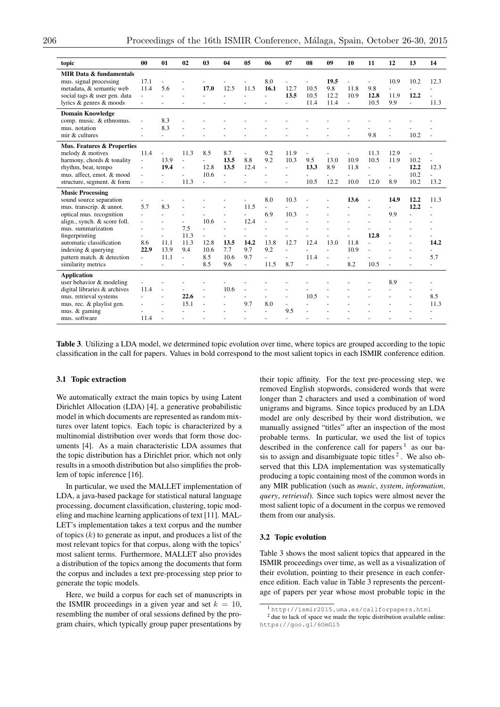| topic                        | 00                       | 01             | 02             | 03             | 04                       | 05                       | 06                       | 07                          | 08             | 09             | 10             | 11             | 12                       | 13                       | 14             |
|------------------------------|--------------------------|----------------|----------------|----------------|--------------------------|--------------------------|--------------------------|-----------------------------|----------------|----------------|----------------|----------------|--------------------------|--------------------------|----------------|
| MIR Data & fundamentals      |                          |                |                |                |                          |                          |                          |                             |                |                |                |                |                          |                          |                |
| mus. signal processing       | 17.1                     |                |                |                |                          |                          | 8.0                      |                             |                | 19.5           |                |                | 10.9                     | 10.2                     | 12.3           |
| metadata, & semantic web     | 11.4                     | 5.6            | $\overline{a}$ | 17.0           | 12.5                     | 11.5                     | 16.1                     | 12.7                        | 10.5           | 9.8            | 11.8           | 9.8            | $\sim$                   |                          |                |
| social tags & user gen. data |                          | $\overline{a}$ |                | $\overline{a}$ | $\overline{a}$           | $\overline{a}$           | $\overline{a}$           | 13.5                        | 10.5           | 12.2           | 10.9           | 12.8           | 11.9                     | 12.2                     |                |
| lyrics & genres & moods      |                          |                |                |                |                          |                          |                          | $\mathcal{L}_{\mathcal{A}}$ | 11.4           | 11.4           | $\blacksquare$ | 10.5           | 9.9                      | $\overline{\phantom{a}}$ | 11.3           |
| <b>Domain Knowledge</b>      |                          |                |                |                |                          |                          |                          |                             |                |                |                |                |                          |                          |                |
| comp. music. & ethnomus.     | $\overline{a}$           | 8.3            |                |                |                          |                          |                          |                             |                |                |                |                |                          |                          |                |
| mus. notation                |                          | 8.3            |                |                |                          |                          |                          |                             |                |                |                |                |                          |                          |                |
| mir & cultures               |                          |                |                |                |                          |                          |                          |                             |                |                |                | 9.8            |                          | 10.2                     |                |
| Mus. Features & Properties   |                          |                |                |                |                          |                          |                          |                             |                |                |                |                |                          |                          |                |
| melody & motives             | 11.4                     |                | 11.3           | 8.5            | 8.7                      | $\overline{a}$           | 9.2                      | 11.9                        |                |                |                | 11.3           | 12.9                     |                          |                |
| harmony, chords & tonality   | $\overline{\phantom{a}}$ | 13.9           | $\overline{a}$ |                | 13.5                     | 8.8                      | 9.2                      | 10.3                        | 9.5            | 13.0           | 10.9           | 10.5           | 11.9                     | 10.2                     |                |
| rhythm, beat, tempo          | $\overline{\phantom{a}}$ | 19.4           | $\overline{a}$ | 12.8           | 13.5                     | 12.4                     | $\overline{a}$           | $\overline{a}$              | 13.3           | 8.9            | 11.8           |                | $\sim$                   | 12.2                     | 12.3           |
| mus. affect, emot. & mood    |                          |                |                | 10.6           | $\overline{a}$           |                          |                          |                             |                |                |                |                |                          | 10.2                     |                |
| structure, segment. & form   |                          |                | 11.3           | ÷.             |                          |                          |                          |                             | 10.5           | 12.2           | 10.0           | 12.0           | 8.9                      | 10.2                     | 13.2           |
| <b>Music Processing</b>      |                          |                |                |                |                          |                          |                          |                             |                |                |                |                |                          |                          |                |
| sound source separation      |                          |                |                |                |                          |                          | 8.0                      | 10.3                        |                |                | 13.6           |                | 14.9                     | 12.2                     | 11.3           |
| mus. transcrip. & annot.     | 5.7                      | 8.3            |                |                |                          | 11.5                     | $\overline{a}$           |                             |                |                |                |                | $\overline{\phantom{0}}$ | 12.2                     | $\overline{a}$ |
| optical mus. recognition     |                          |                |                |                |                          |                          | 6.9                      | 10.3                        |                |                |                |                | 9.9                      |                          |                |
| align., synch. & score foll. | $\overline{a}$           |                |                | 10.6           | $\overline{\phantom{a}}$ | 12.4                     | $\overline{\phantom{a}}$ |                             |                |                |                |                |                          |                          |                |
| mus. summarization           |                          |                | 7.5            | $\overline{a}$ |                          | $\overline{a}$           |                          |                             |                |                |                |                |                          |                          |                |
| fingerprinting               |                          |                | 11.3           |                |                          |                          |                          |                             |                |                |                | 12.8           |                          |                          |                |
| automatic classification     | 8.6                      | 11.1           | 11.3           | 12.8           | 13.5                     | 14.2                     | 13.8                     | 12.7                        | 12.4           | 13.0           | 11.8           | $\overline{a}$ |                          |                          | 14.2           |
| indexing & querying          | 22.9                     | 13.9           | 9.4            | 10.6           | 7.7                      | 9.7                      | 9.2                      | $\overline{\phantom{a}}$    |                | $\overline{a}$ | 10.9           |                |                          |                          |                |
| pattern match. & detection   | $\overline{\phantom{a}}$ | 11.1           | $\overline{a}$ | 8.5            | 10.6                     | 9.7                      |                          |                             | 11.4           | $\sim$         | $\overline{a}$ |                |                          |                          | 5.7            |
| similarity metrics           | L.                       |                | $\overline{a}$ | 8.5            | 9.6                      | $\overline{\phantom{a}}$ | 11.5                     | 8.7                         | $\overline{a}$ |                | 8.2            | 10.5           |                          |                          | L.             |
| <b>Application</b>           |                          |                |                |                |                          |                          |                          |                             |                |                |                |                |                          |                          |                |
| user behavior & modeling     |                          |                |                |                |                          |                          |                          |                             |                |                |                |                | 8.9                      |                          |                |
| digital libraries & archives | 11.4                     |                |                |                | 10.6                     |                          |                          |                             |                |                |                |                | $\overline{a}$           |                          |                |
| mus. retrieval systems       |                          |                | 22.6           | $\sim$         | $\overline{a}$           | $\overline{a}$           | $\overline{a}$           |                             | 10.5           |                |                |                |                          |                          | 8.5            |
| mus. rec. & playlist gen.    |                          |                | 15.1           |                |                          | 9.7                      | 8.0                      | $\sim$                      |                |                |                |                |                          |                          | 11.3           |
| mus. & gaming                |                          |                |                |                |                          | $\overline{a}$           | $\overline{a}$           | 9.5                         |                |                |                |                |                          |                          |                |
| mus. software                | 11.4                     |                |                |                |                          |                          |                          | $\overline{a}$              |                |                |                |                |                          |                          |                |

Table 3. Utilizing a LDA model, we determined topic evolution over time, where topics are grouped according to the topic classification in the call for papers. Values in bold correspond to the most salient topics in each ISMIR conference edition.

### 3.1 Topic extraction

We automatically extract the main topics by using Latent Dirichlet Allocation (LDA) [4], a generative probabilistic model in which documents are represented as random mixtures over latent topics. Each topic is characterized by a multinomial distribution over words that form those documents [4]. As a main characteristic LDA assumes that the topic distribution has a Dirichlet prior, which not only results in a smooth distribution but also simplifies the problem of topic inference [16].

In particular, we used the MALLET implementation of LDA, a java-based package for statistical natural language processing, document classification, clustering, topic modeling and machine learning applications of text [11]. MAL-LET's implementation takes a text corpus and the number of topics (*k*) to generate as input, and produces a list of the most relevant topics for that corpus, along with the topics' most salient terms. Furthermore, MALLET also provides a distribution of the topics among the documents that form the corpus and includes a text pre-processing step prior to generate the topic models.

Here, we build a corpus for each set of manuscripts in the ISMIR proceedings in a given year and set  $k = 10$ , resembling the number of oral sessions defined by the program chairs, which typically group paper presentations by their topic affinity. For the text pre-processing step, we removed English stopwords, considered words that were longer than 2 characters and used a combination of word unigrams and bigrams. Since topics produced by an LDA model are only described by their word distribution, we manually assigned "titles" after an inspection of the most probable terms. In particular, we used the list of topics described in the conference call for papers  $1$  as our basis to assign and disambiguate topic titles  $2$ . We also observed that this LDA implementation was systematically producing a topic containing most of the common words in any MIR publication (such as *music*, *system*, *information*, *query*, *retrieval*). Since such topics were almost never the most salient topic of a document in the corpus we removed them from our analysis.

#### 3.2 Topic evolution

Table 3 shows the most salient topics that appeared in the ISMIR proceedings over time, as well as a visualization of their evolution, pointing to their presence in each conference edition. Each value in Table 3 represents the percentage of papers per year whose most probable topic in the

<sup>1</sup> http://ismir2015.uma.es/callforpapers.html

<sup>2</sup> due to lack of space we made the topic distribution available online: https://goo.gl/6OmGl5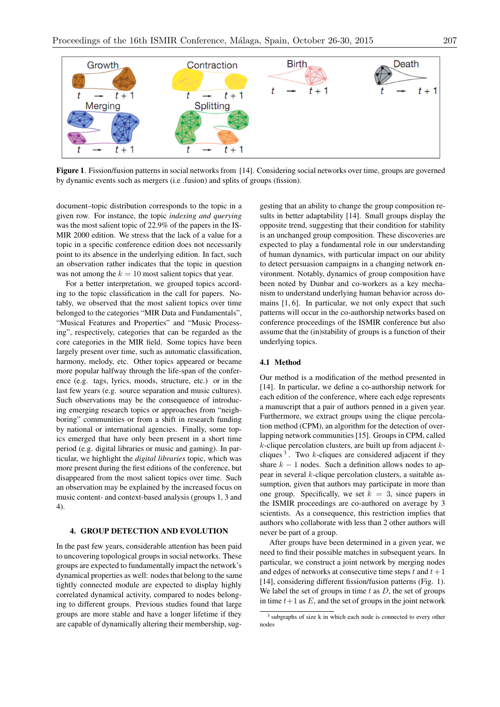

Figure 1. Fission/fusion patterns in social networks from [14]. Considering social networks over time, groups are governed by dynamic events such as mergers (i.e .fusion) and splits of groups (fission).

document–topic distribution corresponds to the topic in a given row. For instance, the topic *indexing and querying* was the most salient topic of 22.9% of the papers in the IS-MIR 2000 edition. We stress that the lack of a value for a topic in a specific conference edition does not necessarily point to its absence in the underlying edition. In fact, such an observation rather indicates that the topic in question was not among the  $k = 10$  most salient topics that year.

For a better interpretation, we grouped topics according to the topic classification in the call for papers. Notably, we observed that the most salient topics over time belonged to the categories "MIR Data and Fundamentals", "Musical Features and Properties" and "Music Processing", respectively, categories that can be regarded as the core categories in the MIR field. Some topics have been largely present over time, such as automatic classification, harmony, melody, etc. Other topics appeared or became more popular halfway through the life-span of the conference (e.g. tags, lyrics, moods, structure, etc.) or in the last few years (e.g. source separation and music cultures). Such observations may be the consequence of introducing emerging research topics or approaches from "neighboring" communities or from a shift in research funding by national or international agencies. Finally, some topics emerged that have only been present in a short time period (e.g. digital libraries or music and gaming). In particular, we highlight the *digital libraries* topic, which was more present during the first editions of the conference, but disappeared from the most salient topics over time. Such an observation may be explained by the increased focus on music content- and context-based analysis (groups 1, 3 and 4).

# 4. GROUP DETECTION AND EVOLUTION

In the past few years, considerable attention has been paid to uncovering topological groups in social networks. These groups are expected to fundamentally impact the network's dynamical properties as well: nodes that belong to the same tightly connected module are expected to display highly correlated dynamical activity, compared to nodes belonging to different groups. Previous studies found that large groups are more stable and have a longer lifetime if they are capable of dynamically altering their membership, suggesting that an ability to change the group composition results in better adaptability [14]. Small groups display the opposite trend, suggesting that their condition for stability is an unchanged group composition. These discoveries are expected to play a fundamental role in our understanding of human dynamics, with particular impact on our ability to detect persuasion campaigns in a changing network environment. Notably, dynamics of group composition have been noted by Dunbar and co-workers as a key mechanism to understand underlying human behavior across domains [1, 6]. In particular, we not only expect that such patterns will occur in the co-authorship networks based on conference proceedings of the ISMIR conference but also assume that the (in)stability of groups is a function of their underlying topics.

## 4.1 Method

Our method is a modification of the method presented in [14]. In particular, we define a co-authorship network for each edition of the conference, where each edge represents a manuscript that a pair of authors penned in a given year. Furthermore, we extract groups using the clique percolation method (CPM), an algorithm for the detection of overlapping network communities [15]. Groups in CPM, called *k*-clique percolation clusters, are built up from adjacent *k*cliques  $3$ . Two *k*-cliques are considered adjacent if they share  $k - 1$  nodes. Such a definition allows nodes to appear in several *k*-clique percolation clusters, a suitable assumption, given that authors may participate in more than one group. Specifically, we set  $k = 3$ , since papers in the ISMIR proceedings are co-authored on average by 3 scientists. As a consequence, this restriction implies that authors who collaborate with less than 2 other authors will never be part of a group.

After groups have been determined in a given year, we need to find their possible matches in subsequent years. In particular, we construct a joint network by merging nodes and edges of networks at consecutive time steps *t* and *t*+ 1 [14], considering different fission/fusion patterns (Fig. 1). We label the set of groups in time *t* as *D*, the set of groups in time  $t+1$  as  $E$ , and the set of groups in the joint network

<sup>&</sup>lt;sup>3</sup> subgraphs of size k in which each node is connected to every other nodes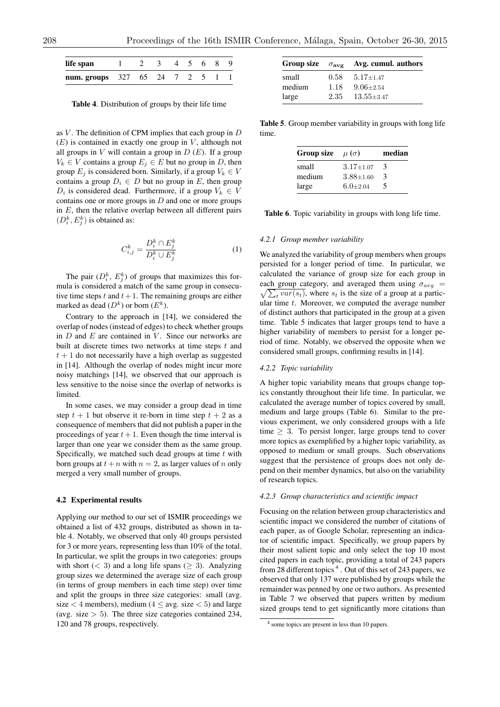| life span                          |  | 3 4 5 6 8 9 |  |  |  |
|------------------------------------|--|-------------|--|--|--|
| <b>num.</b> groups 327 65 24 7 2 5 |  |             |  |  |  |

Table 4. Distribution of groups by their life time

as *V* . The definition of CPM implies that each group in *D*  $(E)$  is contained in exactly one group in  $V$ , although not all groups in  $V$  will contain a group in  $D(E)$ . If a group  $V_k \in V$  contains a group  $E_i \in E$  but no group in *D*, then group  $E_i$  is considered born. Similarly, if a group  $V_k \in V$ contains a group  $D_i \in D$  but no group in *E*, then group  $D_i$  is considered dead. Furthermore, if a group  $V_k \in V$ contains one or more groups in *D* and one or more groups in *E*, then the relative overlap between all different pairs  $(D_i^k, E_j^k)$  is obtained as:

$$
C_{i,j}^k = \frac{D_i^k \cap E_j^k}{D_i^k \cup E_j^k} \tag{1}
$$

The pair  $(D_i^k, E_j^k)$  of groups that maximizes this formula is considered a match of the same group in consecutive time steps  $t$  and  $t + 1$ . The remaining groups are either marked as dead  $(D^k)$  or born  $(E^k)$ .

Contrary to the approach in [14], we considered the overlap of nodes (instead of edges) to check whether groups in *D* and *E* are contained in *V*. Since our networks are built at discrete times two networks at time steps *t* and  $t + 1$  do not necessarily have a high overlap as suggested in [14]. Although the overlap of nodes might incur more noisy matchings [14], we observed that our approach is less sensitive to the noise since the overlap of networks is limited.

In some cases, we may consider a group dead in time step  $t + 1$  but observe it re-born in time step  $t + 2$  as a consequence of members that did not publish a paper in the proceedings of year  $t + 1$ . Even though the time interval is larger than one year we consider them as the same group. Specifically, we matched such dead groups at time *t* with born groups at  $t + n$  with  $n = 2$ , as larger values of *n* only merged a very small number of groups.

## 4.2 Experimental results

Applying our method to our set of ISMIR proceedings we obtained a list of 432 groups, distributed as shown in table 4. Notably, we observed that only 40 groups persisted for 3 or more years, representing less than 10% of the total. In particular, we split the groups in two categories: groups with short  $( $3$ )$  and a long life spans  $(> $3$ ). Analyzing$ group sizes we determined the average size of each group (in terms of group members in each time step) over time and split the groups in three size categories: small (avg. size  $<$  4 members), medium ( $4 \leq avg.$  size  $<$  5) and large (avg. size  $> 5$ ). The three size categories contained 234, 120 and 78 groups, respectively.

|        |        | Group size $\sigma_{\text{avg}}$ Avg. cumul. authors |
|--------|--------|------------------------------------------------------|
| small  | 0.58 - | 5.17+1.47                                            |
| medium | 1.18   | $9.06 \pm 2.54$                                      |
| large  | 2.35   | $13.55 \pm 3.47$                                     |

Table 5. Group member variability in groups with long life time.

| Group size | $\mu(\sigma)$   | median |
|------------|-----------------|--------|
| small      | $3.17 \pm 1.07$ | 3      |
| medium     | $3.88 \pm 1.60$ | 3      |
| large      | $6.0 \pm 2.04$  | 5      |

Table 6. Topic variability in groups with long life time.

#### *4.2.1 Group member variability*

We analyzed the variability of group members when groups persisted for a longer period of time. In particular, we calculated the variance of group size for each group in each group category, and averaged them using  $\sigma_{avg}$  = each group category, and averaged them using  $\sigma_{avg} = \sqrt{\sum_t var(s_t)}$ , where  $s_t$  is the size of a group at a particular time *t*. Moreover, we computed the average number of distinct authors that participated in the group at a given time. Table 5 indicates that larger groups tend to have a higher variability of members to persist for a longer period of time. Notably, we observed the opposite when we considered small groups, confirming results in [14].

### *4.2.2 Topic variability*

A higher topic variability means that groups change topics constantly throughout their life time. In particular, we calculated the average number of topics covered by small, medium and large groups (Table 6). Similar to the previous experiment, we only considered groups with a life time  $> 3$ . To persist longer, large groups tend to cover more topics as exemplified by a higher topic variability, as opposed to medium or small groups. Such observations suggest that the persistence of groups does not only depend on their member dynamics, but also on the variability of research topics.

### *4.2.3 Group characteristics and scientific impact*

Focusing on the relation between group characteristics and scientific impact we considered the number of citations of each paper, as of Google Scholar, representing an indicator of scientific impact. Specifically, we group papers by their most salient topic and only select the top 10 most cited papers in each topic, providing a total of 243 papers from 28 different topics<sup>4</sup>. Out of this set of 243 papers, we observed that only 137 were published by groups while the remainder was penned by one or two authors. As presented in Table 7 we observed that papers written by medium sized groups tend to get significantly more citations than

<sup>4</sup> some topics are present in less than 10 papers.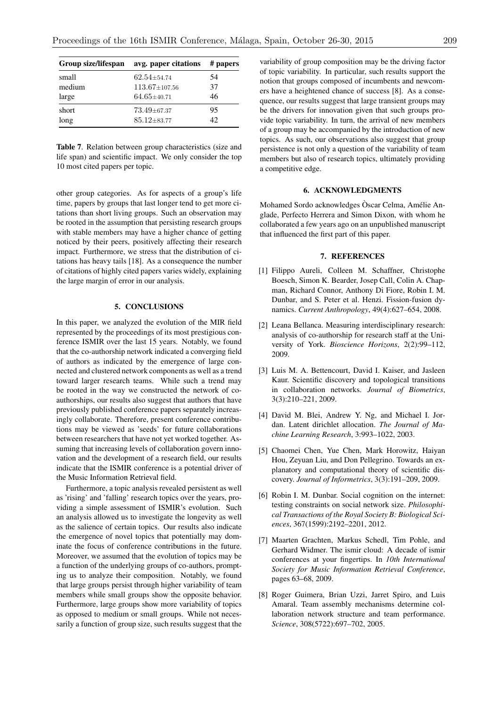| Group size/lifespan | avg. paper citations | # papers |
|---------------------|----------------------|----------|
| small               | $62.54 + 54.74$      | 54       |
| medium              | $113.67 \pm 107.56$  | 37       |
| large               | $64.65 \pm 40.71$    | 46       |
| short               | $73.49 \pm 67.37$    | 95       |
| long                | $85.12 \pm 83.77$    | 42.      |
|                     |                      |          |

Table 7. Relation between group characteristics (size and life span) and scientific impact. We only consider the top 10 most cited papers per topic.

other group categories. As for aspects of a group's life time, papers by groups that last longer tend to get more citations than short living groups. Such an observation may be rooted in the assumption that persisting research groups with stable members may have a higher chance of getting noticed by their peers, positively affecting their research impact. Furthermore, we stress that the distribution of citations has heavy tails [18]. As a consequence the number of citations of highly cited papers varies widely, explaining the large margin of error in our analysis.

## 5. CONCLUSIONS

In this paper, we analyzed the evolution of the MIR field represented by the proceedings of its most prestigious conference ISMIR over the last 15 years. Notably, we found that the co-authorship network indicated a converging field of authors as indicated by the emergence of large connected and clustered network components as well as a trend toward larger research teams. While such a trend may be rooted in the way we constructed the network of coauthorships, our results also suggest that authors that have previously published conference papers separately increasingly collaborate. Therefore, present conference contributions may be viewed as 'seeds' for future collaborations between researchers that have not yet worked together. Assuming that increasing levels of collaboration govern innovation and the development of a research field, our results indicate that the ISMIR conference is a potential driver of the Music Information Retrieval field.

Furthermore, a topic analysis revealed persistent as well as 'rising' and 'falling' research topics over the years, providing a simple assessment of ISMIR's evolution. Such an analysis allowed us to investigate the longevity as well as the salience of certain topics. Our results also indicate the emergence of novel topics that potentially may dominate the focus of conference contributions in the future. Moreover, we assumed that the evolution of topics may be a function of the underlying groups of co-authors, prompting us to analyze their composition. Notably, we found that large groups persist through higher variability of team members while small groups show the opposite behavior. Furthermore, large groups show more variability of topics as opposed to medium or small groups. While not necessarily a function of group size, such results suggest that the

variability of group composition may be the driving factor of topic variability. In particular, such results support the notion that groups composed of incumbents and newcomers have a heightened chance of success [8]. As a consequence, our results suggest that large transient groups may be the drivers for innovation given that such groups provide topic variability. In turn, the arrival of new members of a group may be accompanied by the introduction of new topics. As such, our observations also suggest that group persistence is not only a question of the variability of team members but also of research topics, ultimately providing a competitive edge.

# 6. ACKNOWLEDGMENTS

Mohamed Sordo acknowledges Oscar Celma, Amélie Anglade, Perfecto Herrera and Simon Dixon, with whom he collaborated a few years ago on an unpublished manuscript that influenced the first part of this paper.

## 7. REFERENCES

- [1] Filippo Aureli, Colleen M. Schaffner, Christophe Boesch, Simon K. Bearder, Josep Call, Colin A. Chapman, Richard Connor, Anthony Di Fiore, Robin I. M. Dunbar, and S. Peter et al. Henzi. Fission-fusion dynamics. *Current Anthropology*, 49(4):627–654, 2008.
- [2] Leana Bellanca. Measuring interdisciplinary research: analysis of co-authorship for research staff at the University of York. *Bioscience Horizons*, 2(2):99–112, 2009.
- [3] Luis M. A. Bettencourt, David I. Kaiser, and Jasleen Kaur. Scientific discovery and topological transitions in collaboration networks. *Journal of Biometrics*, 3(3):210–221, 2009.
- [4] David M. Blei, Andrew Y. Ng, and Michael I. Jordan. Latent dirichlet allocation. *The Journal of Machine Learning Research*, 3:993–1022, 2003.
- [5] Chaomei Chen, Yue Chen, Mark Horowitz, Haiyan Hou, Zeyuan Liu, and Don Pellegrino. Towards an explanatory and computational theory of scientific discovery. *Journal of Informetrics*, 3(3):191–209, 2009.
- [6] Robin I. M. Dunbar. Social cognition on the internet: testing constraints on social network size. *Philosophical Transactions of the Royal Society B: Biological Sciences*, 367(1599):2192–2201, 2012.
- [7] Maarten Grachten, Markus Schedl, Tim Pohle, and Gerhard Widmer. The ismir cloud: A decade of ismir conferences at your fingertips. In *10th International Society for Music Information Retrieval Conference*, pages 63–68, 2009.
- [8] Roger Guimera, Brian Uzzi, Jarret Spiro, and Luis Amaral. Team assembly mechanisms determine collaboration network structure and team performance. *Science*, 308(5722):697–702, 2005.